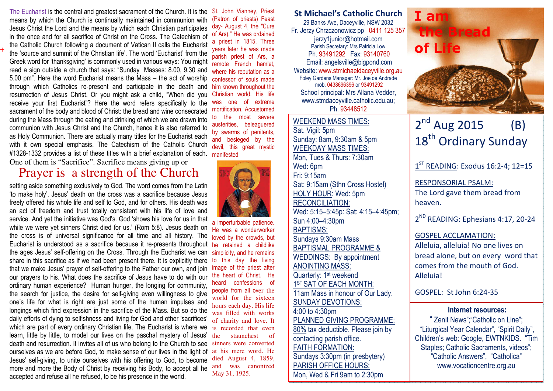The Eucharist is the central and greatest sacrament of the Church. It is the means by which the Church is continually maintained in communion with Jesus Christ the Lord and the means by which each Christian participates in the once and for all sacrifice of Christ on the Cross. The Catechism of the Catholic Church following a document of Vatican II calls the Eucharist the 'source and summit of the Christian life'. The word 'Eucharist' from the Greek word for 'thanksgiving' is commonly used in various ways: You might read a sign outside a church that says: "Sunday Masses: 8.00, 9.30 and 5.00 pm". Here the word Eucharist means the Mass – the act of worship through which Catholics re-present and participate in the death and resurrection of Jesus Christ. Or you might ask a child, "When did you receive your first Eucharist"? Here the word refers specifically to the sacrament of the body and blood of Christ: the bread and wine consecrated during the Mass through the eating and drinking of which we are drawn into communion with Jesus Christ and the Church, hence it is also referred to as Holy Communion. There are actually many titles for the Eucharist each with it own special emphasis. The Catechism of the Catholic Church #1328-1332 provides a list of these titles with a brief explanation of each. One of them is "Sacrifice". Sacrifice means giving up or

**+**

## Prayer is a strength of the Church

Eucharist is understood as a sacrifice because it re-presents throughout he retained a childlike setting aside something exclusively to God. The word comes from the Latin 'to make holy'. Jesus' death on the cross was a sacrifice because Jesus freely offered his whole life and self to God, and for others. His death was an act of freedom and trust totally consistent with his life of love and service. And yet the initiative was God's. God 'shows his love for us in that while we were yet sinners Christ died for us.' (Rom 5:8). Jesus death on the cross is of universal significance for all time and all history. The the ages Jesus' self-offering on the Cross. Through the Eucharist we can share in this sacrifice as if we had been present there. It is explicitly there that we make Jesus' prayer of self-offering to the Father our own, and join our prayers to his. What does the sacrifice of Jesus have to do with our ordinary human experience? Human hunger, the longing for community, the search for justice, the desire for self-giving even willingness to give one's life for what is right are just some of the human impulses and longings which find expression in the sacrifice of the Mass. But so do the daily efforts of dying to selfishness and living for God and other 'sacrifices' which are part of every ordinary Christian life. The Eucharist is where we learn, little by little, to model our lives on the paschal mystery of Jesus' death and resurrection. It invites all of us who belong to the Church to see ourselves as we are before God, to make sense of our lives in the light of Jesus' self-giving, to unite ourselves with his offering to God, to become more and more the Body of Christ by receiving his Body, to accept all he accepted and refuse all he refused, to be his presence in the world.

St. John Vianney, Priest (Patron of priests) Feast day- August 4, the "Cure of Ars)," He was ordained a priest in 1815. Three years later he was made parish priest of Ars, a remote French hamlet, where his reputation as a confessor of souls made him known throughout the Christian world. His life was one of extreme mortification. Accustomed to the most severe austerities, beleaguered by swarms of penitents, and besieged by the devil, this great mystic manifested



a imperturbable patience. He was a wonderworker loved by the crowds, but simplicity, and he remains to this day the living image of the priest after the heart of Christ. He heard confessions of people from all over the world for the sixteen hours each day. His life was filled with works of charity and love. It is recorded that even the staunchest of sinners were converted at his mere word. He died August 4, 1859, and was canonized May 31, 1925.

St Michael's Catholic Church 29 Banks Ave, Daceyville, NSW 2032 Fr. Jerzy Chrzczonowicz pp 0411 125 357 jerzy1junior@hotmail.com Parish Secretary: Mrs Patricia Low Ph. 93491292 Fax: 93140760 Email: angelsville@bigpond.com Website: www.stmichaeldaceyville.org.au Foley Gardens Manager: Mr. Joe de Andrade mob. 0438696396 or 93491292 School principal: Mrs Allana Vedder, www.stmdaceyville.catholic.edu.au; Ph. 93448512

#### WEEKEND MASS TIMES:Sat. Vigil: 5pm Sunday: 8am, 9:30am & 5pm WEEKDAY MASS TIMES: Mon, Tues & Thurs: 7:30am Wed: 6pm Fri: 9:15am Sat: 9:15am (Sthn Cross Hostel) HOLY HOUR: Wed: 5pm RECONCILIATION: Wed: 5:15–5:45p: Sat: 4:15–4:45pm; Sun 4:00–4:30pm BAPTISMS: Sundays 9:30am Mass BAPTISMAL PROGRAMME & WEDDINGS: By appointment ANOINTING MASS: Quarterly: 1<sup>st</sup> weekend 1<sup>ST</sup> SAT OF EACH MONTH: 11am Mass in honour of Our Lady. SUNDAY DEVOTIONS: 4:00 to 4:30pm PLANNED GIVING PROGRAMME: 80% tax deductible. Please join by contacting parish office. FAITH FORMATION: Sundays 3:30pm (in presbytery) PARISH OFFICE HOURS:

Mon, Wed & Fri 9am to 2:30pm



## $2^{nd}$  Aug 2015 (B) 18<sup>th</sup> Ordinary Sunday

 $1^{ST}$  READING: Exodus 16:2-4; 12=15

RESPONSORIAL PSALM: The Lord gave them bread from heaven.

2<sup>ND</sup> READING: Ephesians 4:17, 20-24

#### GOSPEL ACCLAMATION:

Alleluia, alleluia! No one lives on bread alone, but on every word that comes from the mouth of God. Alleluia!

GOSPEL: St John 6:24-35

#### Internet resources:

 " Zenit News";"Catholic on Line"; "Liturgical Year Calendar", "Spirit Daily", Children's web: Google, EWTNKIDS. "Tim Staples; Catholic Sacraments, videos"; "Catholic Answers", "Catholica" www.vocationcentre.org.au